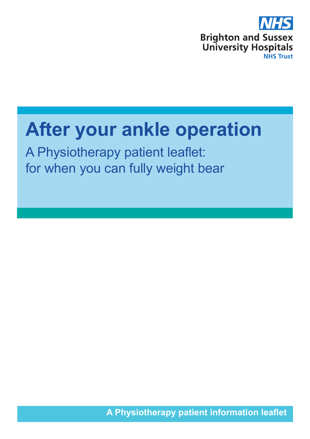

# **After your ankle operation**

A Physiotherapy patient leaflet: for when you can fully weight bear

**A Physiotherapy patient information leaflet**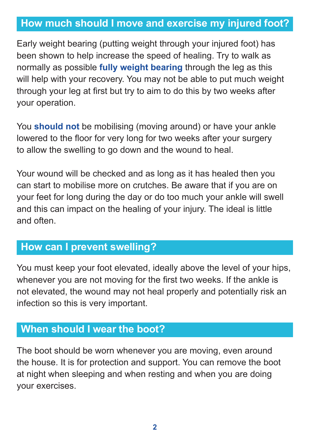# How much should I move and exercise my injured foot? **How much should I move and exercise my injured foot?**

Early weight bearing (putting weight through your injured foot) has been shown to help increase the speed of healing. Try to walk as normally as possible **fully weight bearing** through the leg as this will help with your recovery. You may not be able to put much weight through your leg at first but try to aim to do this by two weeks after your operation.

You **should not** be mobilising (moving around) or have your ankle lowered to the floor for very long for two weeks after your surgery to allow the swelling to go down and the wound to heal.

Your wound will be checked and as long as it has healed then you can start to mobilise more on crutches. Be aware that if you are on your feet for long during the day or do too much your ankle will swell and this can impact on the healing of your injury. The ideal is little and often.

# How can I prevent swelling? **How can I prevent swelling?**

You must keep your foot elevated, ideally above the level of your hips, whenever you are not moving for the first two weeks. If the ankle is not elevated, the wound may not heal properly and potentially risk an infection so this is very important.

## When should I wear the boot? **When should I wear the boot?**

The boot should be worn whenever you are moving, even around the house. It is for protection and support. You can remove the boot at night when sleeping and when resting and when you are doing your exercises.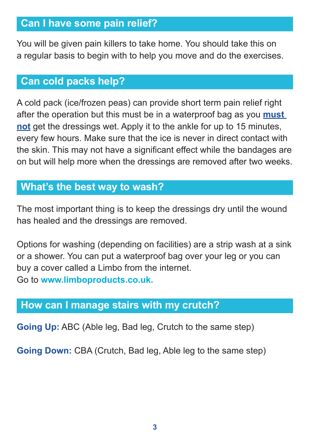# Can I have some pain relief? **Can I have some pain relief?**

You will be given pain killers to take home. You should take this on a regular basis to begin with to help you move and do the exercises.

## Can cold packs help? **Can cold packs help?**

A cold pack (ice/frozen peas) can provide short term pain relief right after the operation but this must be in a waterproof bag as you **must not** get the dressings wet. Apply it to the ankle for up to 15 minutes, every few hours. Make sure that the ice is never in direct contact with the skin. This may not have a significant effect while the bandages are on but will help more when the dressings are removed after two weeks.

## What's the best way to wash? **What's the best way to wash?**

The most important thing is to keep the dressings dry until the wound has healed and the dressings are removed.

Options for washing (depending on facilities) are a strip wash at a sink or a shower. You can put a waterproof bag over your leg or you can buy a cover called a Limbo from the internet. Go to **www.limboproducts.co.uk.** 

#### How can I manage stairs with my crutch? **How can I manage stairs with my crutch?**

**Going Up:** ABC (Able leg, Bad leg, Crutch to the same step)

**Going Down:** CBA (Crutch, Bad leg, Able leg to the same step)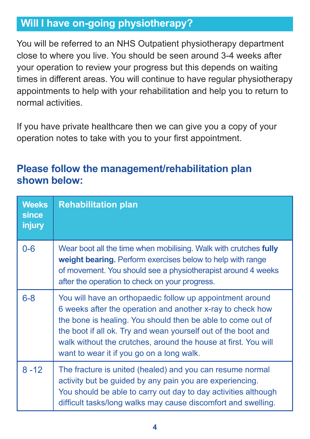# Will I have on-going physiotherapy? **Will I have on-going physiotherapy?**

You will be referred to an NHS Outpatient physiotherapy department close to where you live. You should be seen around 3-4 weeks after your operation to review your progress but this depends on waiting times in different areas. You will continue to have regular physiotherapy appointments to help with your rehabilitation and help you to return to normal activities.

If you have private healthcare then we can give you a copy of your operation notes to take with you to your first appointment.

## **Please follow the management/rehabilitation plan shown below:**

| <b>Weeks</b><br><b>since</b><br>injury | <b>Rehabilitation plan</b>                                                                                                                                                                                                                                                                                                                                             |
|----------------------------------------|------------------------------------------------------------------------------------------------------------------------------------------------------------------------------------------------------------------------------------------------------------------------------------------------------------------------------------------------------------------------|
| $0 - 6$                                | Wear boot all the time when mobilising. Walk with crutches fully<br>weight bearing. Perform exercises below to help with range<br>of movement. You should see a physiotherapist around 4 weeks<br>after the operation to check on your progress.                                                                                                                       |
| $6 - 8$                                | You will have an orthopaedic follow up appointment around<br>6 weeks after the operation and another x-ray to check how<br>the bone is healing. You should then be able to come out of<br>the boot if all ok. Try and wean yourself out of the boot and<br>walk without the crutches, around the house at first. You will<br>want to wear it if you go on a long walk. |
| $8 - 12$                               | The fracture is united (healed) and you can resume normal<br>activity but be guided by any pain you are experiencing.<br>You should be able to carry out day to day activities although<br>difficult tasks/long walks may cause discomfort and swelling.                                                                                                               |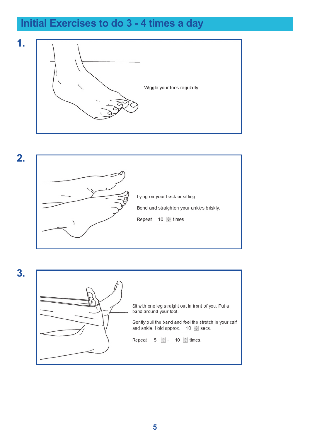# Initial Exercises to do 3-4 times a day **Initial Exercises to do 3 - 4 times a day**







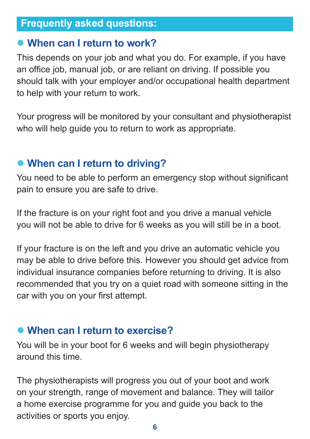# Frequently asked questions: **Frequently asked questions:**

#### $\bullet$  **When can I return to work?**

This depends on your job and what you do. For example, if you have an office job, manual job, or are reliant on driving. If possible you should talk with your employer and/or occupational health department to help with your return to work.

Your progress will be monitored by your consultant and physiotherapist who will help guide you to return to work as appropriate.

# **• When can I return to driving?**

You need to be able to perform an emergency stop without significant pain to ensure you are safe to drive.

If the fracture is on your right foot and you drive a manual vehicle you will not be able to drive for 6 weeks as you will still be in a boot.

If your fracture is on the left and you drive an automatic vehicle you may be able to drive before this. However you should get advice from individual insurance companies before returning to driving. It is also recommended that you try on a quiet road with someone sitting in the car with you on your first attempt.

#### $\bullet$  **When can I return to exercise?**

You will be in your boot for 6 weeks and will begin physiotherapy around this time.

The physiotherapists will progress you out of your boot and work on your strength, range of movement and balance. They will tailor a home exercise programme for you and guide you back to the activities or sports you enjoy.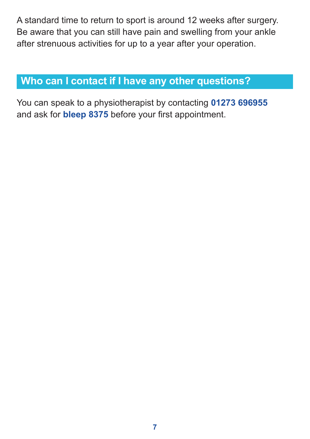A standard time to return to sport is around 12 weeks after surgery. Be aware that you can still have pain and swelling from your ankle after strenuous activities for up to a year after your operation.

## Who can I contact if I have any other questions? **Who can I contact if I have any other questions?**

You can speak to a physiotherapist by contacting **01273 696955** and ask for **bleep 8375** before your first appointment.